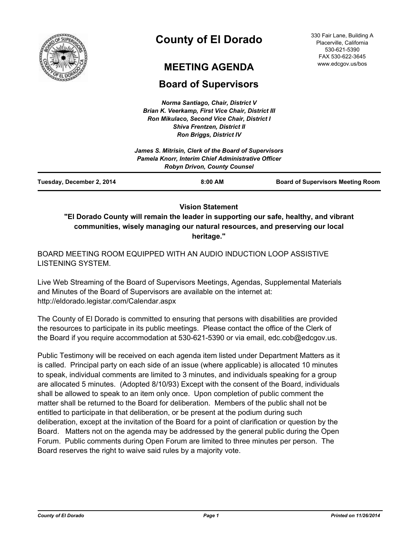

# **County of El Dorado**

## **MEETING AGENDA**

## **Board of Supervisors**

*Norma Santiago, Chair, District V Brian K. Veerkamp, First Vice Chair, District III Ron Mikulaco, Second Vice Chair, District I Shiva Frentzen, District II Ron Briggs, District IV*

|                           | James S. Mitrisin, Clerk of the Board of Supervisors<br>Pamela Knorr, Interim Chief Administrative Officer<br><b>Robyn Drivon, County Counsel</b> |                                          |
|---------------------------|---------------------------------------------------------------------------------------------------------------------------------------------------|------------------------------------------|
| Tuesday, December 2, 2014 | $8:00$ AM                                                                                                                                         | <b>Board of Supervisors Meeting Room</b> |

**Vision Statement** 

**"El Dorado County will remain the leader in supporting our safe, healthy, and vibrant communities, wisely managing our natural resources, and preserving our local heritage."**

BOARD MEETING ROOM EQUIPPED WITH AN AUDIO INDUCTION LOOP ASSISTIVE LISTENING SYSTEM.

Live Web Streaming of the Board of Supervisors Meetings, Agendas, Supplemental Materials and Minutes of the Board of Supervisors are available on the internet at: http://eldorado.legistar.com/Calendar.aspx

The County of El Dorado is committed to ensuring that persons with disabilities are provided the resources to participate in its public meetings. Please contact the office of the Clerk of the Board if you require accommodation at 530-621-5390 or via email, edc.cob@edcgov.us.

Public Testimony will be received on each agenda item listed under Department Matters as it is called. Principal party on each side of an issue (where applicable) is allocated 10 minutes to speak, individual comments are limited to 3 minutes, and individuals speaking for a group are allocated 5 minutes. (Adopted 8/10/93) Except with the consent of the Board, individuals shall be allowed to speak to an item only once. Upon completion of public comment the matter shall be returned to the Board for deliberation. Members of the public shall not be entitled to participate in that deliberation, or be present at the podium during such deliberation, except at the invitation of the Board for a point of clarification or question by the Board. Matters not on the agenda may be addressed by the general public during the Open Forum. Public comments during Open Forum are limited to three minutes per person. The Board reserves the right to waive said rules by a majority vote.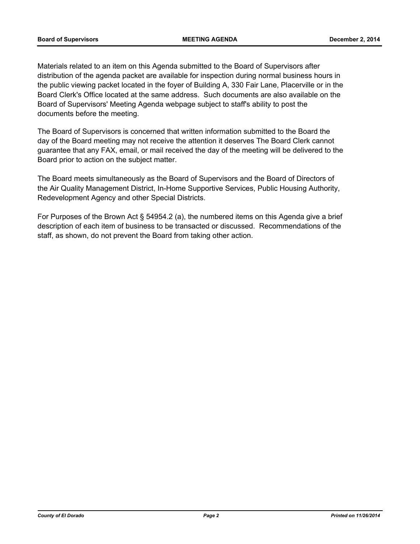Materials related to an item on this Agenda submitted to the Board of Supervisors after distribution of the agenda packet are available for inspection during normal business hours in the public viewing packet located in the foyer of Building A, 330 Fair Lane, Placerville or in the Board Clerk's Office located at the same address. Such documents are also available on the Board of Supervisors' Meeting Agenda webpage subject to staff's ability to post the documents before the meeting.

The Board of Supervisors is concerned that written information submitted to the Board the day of the Board meeting may not receive the attention it deserves The Board Clerk cannot guarantee that any FAX, email, or mail received the day of the meeting will be delivered to the Board prior to action on the subject matter.

The Board meets simultaneously as the Board of Supervisors and the Board of Directors of the Air Quality Management District, In-Home Supportive Services, Public Housing Authority, Redevelopment Agency and other Special Districts.

For Purposes of the Brown Act § 54954.2 (a), the numbered items on this Agenda give a brief description of each item of business to be transacted or discussed. Recommendations of the staff, as shown, do not prevent the Board from taking other action.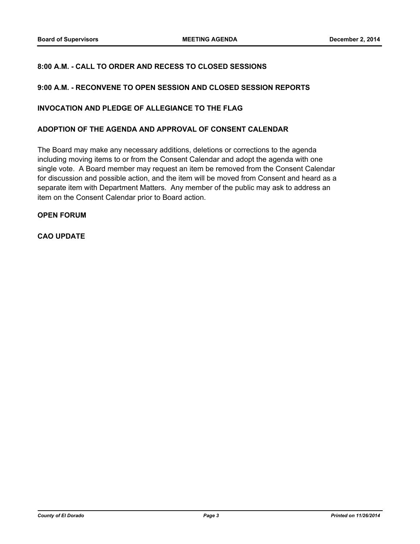### **8:00 A.M. - CALL TO ORDER AND RECESS TO CLOSED SESSIONS**

#### **9:00 A.M. - RECONVENE TO OPEN SESSION AND CLOSED SESSION REPORTS**

#### **INVOCATION AND PLEDGE OF ALLEGIANCE TO THE FLAG**

#### **ADOPTION OF THE AGENDA AND APPROVAL OF CONSENT CALENDAR**

The Board may make any necessary additions, deletions or corrections to the agenda including moving items to or from the Consent Calendar and adopt the agenda with one single vote. A Board member may request an item be removed from the Consent Calendar for discussion and possible action, and the item will be moved from Consent and heard as a separate item with Department Matters. Any member of the public may ask to address an item on the Consent Calendar prior to Board action.

#### **OPEN FORUM**

### **CAO UPDATE**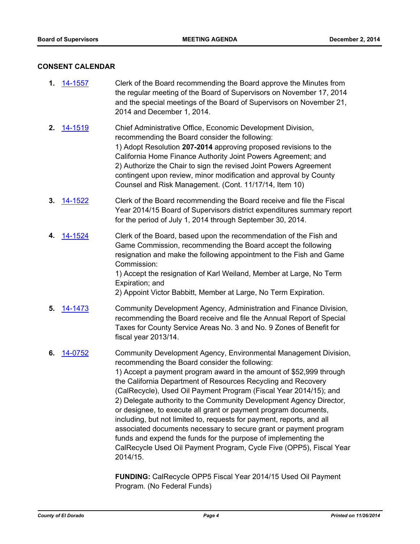#### **CONSENT CALENDAR**

- **1.** [14-1557](http://eldorado.legistar.com/gateway.aspx?m=l&id=/matter.aspx?key=19044) Clerk of the Board recommending the Board approve the Minutes from the regular meeting of the Board of Supervisors on November 17, 2014 and the special meetings of the Board of Supervisors on November 21, 2014 and December 1, 2014.
- **2.** [14-1519](http://eldorado.legistar.com/gateway.aspx?m=l&id=/matter.aspx?key=19006) Chief Administrative Office, Economic Development Division, recommending the Board consider the following: 1) Adopt Resolution **207-2014** approving proposed revisions to the California Home Finance Authority Joint Powers Agreement; and 2) Authorize the Chair to sign the revised Joint Powers Agreement contingent upon review, minor modification and approval by County Counsel and Risk Management. (Cont. 11/17/14, Item 10)
- **3.** [14-1522](http://eldorado.legistar.com/gateway.aspx?m=l&id=/matter.aspx?key=19009) Clerk of the Board recommending the Board receive and file the Fiscal Year 2014/15 Board of Supervisors district expenditures summary report for the period of July 1, 2014 through September 30, 2014.
- **4.** [14-1524](http://eldorado.legistar.com/gateway.aspx?m=l&id=/matter.aspx?key=19011) Clerk of the Board, based upon the recommendation of the Fish and Game Commission, recommending the Board accept the following resignation and make the following appointment to the Fish and Game Commission:

1) Accept the resignation of Karl Weiland, Member at Large, No Term Expiration; and

2) Appoint Victor Babbitt, Member at Large, No Term Expiration.

- **5.** [14-1473](http://eldorado.legistar.com/gateway.aspx?m=l&id=/matter.aspx?key=18957) Community Development Agency, Administration and Finance Division, recommending the Board receive and file the Annual Report of Special Taxes for County Service Areas No. 3 and No. 9 Zones of Benefit for fiscal year 2013/14.
- **6.** [14-0752](http://eldorado.legistar.com/gateway.aspx?m=l&id=/matter.aspx?key=18235) Community Development Agency, Environmental Management Division, recommending the Board consider the following: 1) Accept a payment program award in the amount of \$52,999 through the California Department of Resources Recycling and Recovery (CalRecycle), Used Oil Payment Program (Fiscal Year 2014/15); and 2) Delegate authority to the Community Development Agency Director, or designee, to execute all grant or payment program documents, including, but not limited to, requests for payment, reports, and all associated documents necessary to secure grant or payment program funds and expend the funds for the purpose of implementing the CalRecycle Used Oil Payment Program, Cycle Five (OPP5), Fiscal Year 2014/15.

**FUNDING:** CalRecycle OPP5 Fiscal Year 2014/15 Used Oil Payment Program. (No Federal Funds)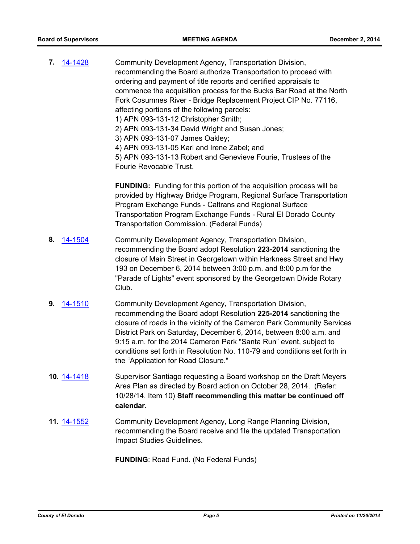| 7. | 14-1428     | Community Development Agency, Transportation Division,<br>recommending the Board authorize Transportation to proceed with<br>ordering and payment of title reports and certified appraisals to<br>commence the acquisition process for the Bucks Bar Road at the North<br>Fork Cosumnes River - Bridge Replacement Project CIP No. 77116,<br>affecting portions of the following parcels:<br>1) APN 093-131-12 Christopher Smith;<br>2) APN 093-131-34 David Wright and Susan Jones;<br>3) APN 093-131-07 James Oakley;<br>4) APN 093-131-05 Karl and Irene Zabel; and<br>5) APN 093-131-13 Robert and Genevieve Fourie, Trustees of the<br>Fourie Revocable Trust. |
|----|-------------|---------------------------------------------------------------------------------------------------------------------------------------------------------------------------------------------------------------------------------------------------------------------------------------------------------------------------------------------------------------------------------------------------------------------------------------------------------------------------------------------------------------------------------------------------------------------------------------------------------------------------------------------------------------------|
|    |             | <b>FUNDING:</b> Funding for this portion of the acquisition process will be<br>provided by Highway Bridge Program, Regional Surface Transportation<br>Program Exchange Funds - Caltrans and Regional Surface<br>Transportation Program Exchange Funds - Rural El Dorado County<br>Transportation Commission. (Federal Funds)                                                                                                                                                                                                                                                                                                                                        |
| 8. | 14-1504     | Community Development Agency, Transportation Division,<br>recommending the Board adopt Resolution 223-2014 sanctioning the<br>closure of Main Street in Georgetown within Harkness Street and Hwy<br>193 on December 6, 2014 between 3:00 p.m. and 8:00 p.m for the<br>"Parade of Lights" event sponsored by the Georgetown Divide Rotary<br>Club.                                                                                                                                                                                                                                                                                                                  |
| 9. | 14-1510     | Community Development Agency, Transportation Division,<br>recommending the Board adopt Resolution 225-2014 sanctioning the<br>closure of roads in the vicinity of the Cameron Park Community Services<br>District Park on Saturday, December 6, 2014, between 8:00 a.m. and<br>9:15 a.m. for the 2014 Cameron Park "Santa Run" event, subject to<br>conditions set forth in Resolution No. 110-79 and conditions set forth in<br>the "Application for Road Closure."                                                                                                                                                                                                |
|    | 10. 14-1418 | Supervisor Santiago requesting a Board workshop on the Draft Meyers<br>Area Plan as directed by Board action on October 28, 2014. (Refer:<br>10/28/14, Item 10) Staff recommending this matter be continued off<br>calendar.                                                                                                                                                                                                                                                                                                                                                                                                                                        |
|    | 11. 14-1552 | Community Development Agency, Long Range Planning Division,<br>recommending the Board receive and file the updated Transportation<br>Impact Studies Guidelines.                                                                                                                                                                                                                                                                                                                                                                                                                                                                                                     |

**FUNDING**: Road Fund. (No Federal Funds)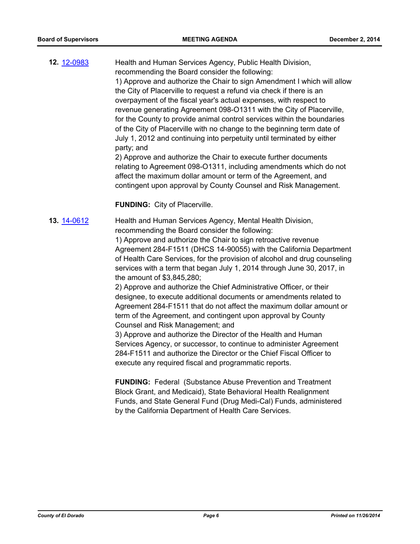**12.** [12-0983](http://eldorado.legistar.com/gateway.aspx?m=l&id=/matter.aspx?key=15282) Health and Human Services Agency, Public Health Division, recommending the Board consider the following: 1) Approve and authorize the Chair to sign Amendment I which will allow the City of Placerville to request a refund via check if there is an overpayment of the fiscal year's actual expenses, with respect to revenue generating Agreement 098-O1311 with the City of Placerville, for the County to provide animal control services within the boundaries of the City of Placerville with no change to the beginning term date of July 1, 2012 and continuing into perpetuity until terminated by either party; and 2) Approve and authorize the Chair to execute further documents

relating to Agreement 098-O1311, including amendments which do not affect the maximum dollar amount or term of the Agreement, and contingent upon approval by County Counsel and Risk Management.

**FUNDING:** City of Placerville.

**13.** [14-0612](http://eldorado.legistar.com/gateway.aspx?m=l&id=/matter.aspx?key=18094) Health and Human Services Agency, Mental Health Division, recommending the Board consider the following:

> 1) Approve and authorize the Chair to sign retroactive revenue Agreement 284-F1511 (DHCS 14-90055) with the California Department of Health Care Services, for the provision of alcohol and drug counseling services with a term that began July 1, 2014 through June 30, 2017, in the amount of \$3,845,280;

2) Approve and authorize the Chief Administrative Officer, or their designee, to execute additional documents or amendments related to Agreement 284-F1511 that do not affect the maximum dollar amount or term of the Agreement, and contingent upon approval by County Counsel and Risk Management; and

3) Approve and authorize the Director of the Health and Human Services Agency, or successor, to continue to administer Agreement 284-F1511 and authorize the Director or the Chief Fiscal Officer to execute any required fiscal and programmatic reports.

**FUNDING:** Federal (Substance Abuse Prevention and Treatment Block Grant, and Medicaid), State Behavioral Health Realignment Funds, and State General Fund (Drug Medi-Cal) Funds, administered by the California Department of Health Care Services.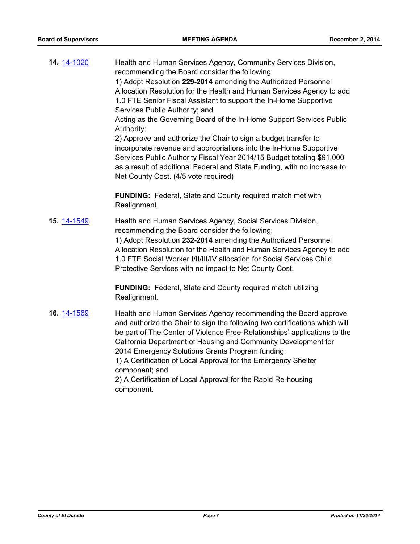| 14. 14-1020 | Health and Human Services Agency, Community Services Division,<br>recommending the Board consider the following:<br>1) Adopt Resolution 229-2014 amending the Authorized Personnel<br>Allocation Resolution for the Health and Human Services Agency to add<br>1.0 FTE Senior Fiscal Assistant to support the In-Home Supportive<br>Services Public Authority; and<br>Acting as the Governing Board of the In-Home Support Services Public<br>Authority:<br>2) Approve and authorize the Chair to sign a budget transfer to<br>incorporate revenue and appropriations into the In-Home Supportive<br>Services Public Authority Fiscal Year 2014/15 Budget totaling \$91,000<br>as a result of additional Federal and State Funding, with no increase to<br>Net County Cost. (4/5 vote required) |
|-------------|-------------------------------------------------------------------------------------------------------------------------------------------------------------------------------------------------------------------------------------------------------------------------------------------------------------------------------------------------------------------------------------------------------------------------------------------------------------------------------------------------------------------------------------------------------------------------------------------------------------------------------------------------------------------------------------------------------------------------------------------------------------------------------------------------|
|             | <b>FUNDING:</b> Federal, State and County required match met with<br>Realignment.                                                                                                                                                                                                                                                                                                                                                                                                                                                                                                                                                                                                                                                                                                               |
| 15. 14-1549 | Health and Human Services Agency, Social Services Division,<br>recommending the Board consider the following:<br>1) Adopt Resolution 232-2014 amending the Authorized Personnel<br>Allocation Resolution for the Health and Human Services Agency to add<br>1.0 FTE Social Worker I/II/III/IV allocation for Social Services Child<br>Protective Services with no impact to Net County Cost.                                                                                                                                                                                                                                                                                                                                                                                                    |
|             | <b>FUNDING:</b> Federal, State and County required match utilizing<br>Realignment.                                                                                                                                                                                                                                                                                                                                                                                                                                                                                                                                                                                                                                                                                                              |
| 16. 14-1569 | Health and Human Services Agency recommending the Board approve<br>and authorize the Chair to sign the following two certifications which will<br>be part of The Center of Violence Free-Relationships' applications to the<br>California Department of Housing and Community Development for<br>2014 Emergency Solutions Grants Program funding:<br>1) A Certification of Local Approval for the Emergency Shelter<br>component; and<br>2) A Certification of Local Approval for the Rapid Re-housing<br>component.                                                                                                                                                                                                                                                                            |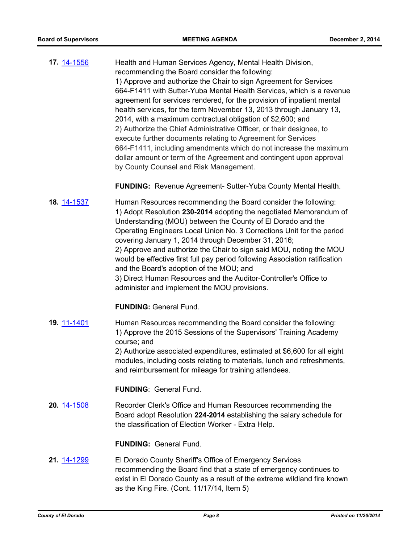**17.** [14-1556](http://eldorado.legistar.com/gateway.aspx?m=l&id=/matter.aspx?key=19043) Health and Human Services Agency, Mental Health Division, recommending the Board consider the following: 1) Approve and authorize the Chair to sign Agreement for Services 664-F1411 with Sutter-Yuba Mental Health Services, which is a revenue agreement for services rendered, for the provision of inpatient mental health services, for the term November 13, 2013 through January 13, 2014, with a maximum contractual obligation of \$2,600; and 2) Authorize the Chief Administrative Officer, or their designee, to execute further documents relating to Agreement for Services 664-F1411, including amendments which do not increase the maximum dollar amount or term of the Agreement and contingent upon approval by County Counsel and Risk Management.

**FUNDING:** Revenue Agreement- Sutter-Yuba County Mental Health.

**18.** [14-1537](http://eldorado.legistar.com/gateway.aspx?m=l&id=/matter.aspx?key=19024) Human Resources recommending the Board consider the following: 1) Adopt Resolution **230-2014** adopting the negotiated Memorandum of Understanding (MOU) between the County of El Dorado and the Operating Engineers Local Union No. 3 Corrections Unit for the period covering January 1, 2014 through December 31, 2016; 2) Approve and authorize the Chair to sign said MOU, noting the MOU would be effective first full pay period following Association ratification and the Board's adoption of the MOU; and 3) Direct Human Resources and the Auditor-Controller's Office to administer and implement the MOU provisions.

**FUNDING:** General Fund.

**19.** [11-1401](http://eldorado.legistar.com/gateway.aspx?m=l&id=/matter.aspx?key=14246) Human Resources recommending the Board consider the following: 1) Approve the 2015 Sessions of the Supervisors' Training Academy course; and 2) Authorize associated expenditures, estimated at \$6,600 for all eight modules, including costs relating to materials, lunch and refreshments,

and reimbursement for mileage for training attendees.

**FUNDING**: General Fund.

**20.** [14-1508](http://eldorado.legistar.com/gateway.aspx?m=l&id=/matter.aspx?key=18992) Recorder Clerk's Office and Human Resources recommending the Board adopt Resolution **224-2014** establishing the salary schedule for the classification of Election Worker - Extra Help.

**FUNDING:** General Fund.

**21.** [14-1299](http://eldorado.legistar.com/gateway.aspx?m=l&id=/matter.aspx?key=18783) El Dorado County Sheriff's Office of Emergency Services recommending the Board find that a state of emergency continues to exist in El Dorado County as a result of the extreme wildland fire known as the King Fire. (Cont. 11/17/14, Item 5)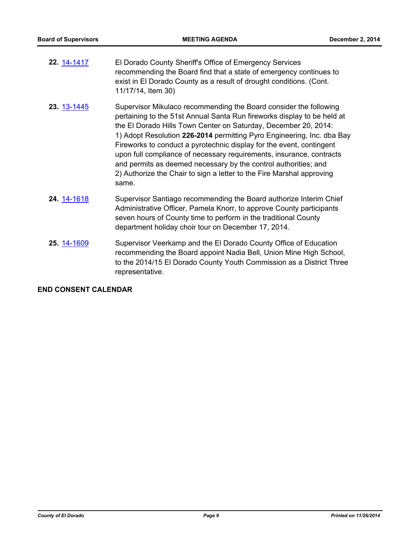- **22.** [14-1417](http://eldorado.legistar.com/gateway.aspx?m=l&id=/matter.aspx?key=18901) El Dorado County Sheriff's Office of Emergency Services recommending the Board find that a state of emergency continues to exist in El Dorado County as a result of drought conditions. (Cont. 11/17/14, Item 30)
- **23.** [13-1445](http://eldorado.legistar.com/gateway.aspx?m=l&id=/matter.aspx?key=17343) Supervisor Mikulaco recommending the Board consider the following pertaining to the 51st Annual Santa Run fireworks display to be held at the El Dorado Hills Town Center on Saturday, December 20, 2014: 1) Adopt Resolution **226-2014** permitting Pyro Engineering, Inc. dba Bay Fireworks to conduct a pyrotechnic display for the event, contingent upon full compliance of necessary requirements, insurance, contracts and permits as deemed necessary by the control authorities; and 2) Authorize the Chair to sign a letter to the Fire Marshal approving same.
- **24.** [14-1618](http://eldorado.legistar.com/gateway.aspx?m=l&id=/matter.aspx?key=19106) Supervisor Santiago recommending the Board authorize Interim Chief Administrative Officer, Pamela Knorr, to approve County participants seven hours of County time to perform in the traditional County department holiday choir tour on December 17, 2014.
- **25.** [14-1609](http://eldorado.legistar.com/gateway.aspx?m=l&id=/matter.aspx?key=19096) Supervisor Veerkamp and the El Dorado County Office of Education recommending the Board appoint Nadia Bell, Union Mine High School, to the 2014/15 El Dorado County Youth Commission as a District Three representative.

#### **END CONSENT CALENDAR**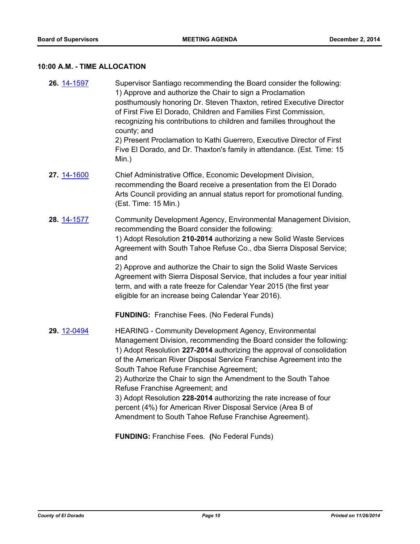## **10:00 A.M. - TIME ALLOCATION**

| 26. 14-1597 | Supervisor Santiago recommending the Board consider the following:<br>1) Approve and authorize the Chair to sign a Proclamation<br>posthumously honoring Dr. Steven Thaxton, retired Executive Director<br>of First Five El Dorado, Children and Families First Commission,<br>recognizing his contributions to children and families throughout the<br>county; and<br>2) Present Proclamation to Kathi Guerrero, Executive Director of First<br>Five El Dorado, and Dr. Thaxton's family in attendance. (Est. Time: 15<br>Min.)                                                                                                    |
|-------------|-------------------------------------------------------------------------------------------------------------------------------------------------------------------------------------------------------------------------------------------------------------------------------------------------------------------------------------------------------------------------------------------------------------------------------------------------------------------------------------------------------------------------------------------------------------------------------------------------------------------------------------|
| 27. 14-1600 | Chief Administrative Office, Economic Development Division,<br>recommending the Board receive a presentation from the El Dorado<br>Arts Council providing an annual status report for promotional funding.<br>(Est. Time: 15 Min.)                                                                                                                                                                                                                                                                                                                                                                                                  |
| 28. 14-1577 | Community Development Agency, Environmental Management Division,<br>recommending the Board consider the following:<br>1) Adopt Resolution 210-2014 authorizing a new Solid Waste Services<br>Agreement with South Tahoe Refuse Co., dba Sierra Disposal Service;<br>and<br>2) Approve and authorize the Chair to sign the Solid Waste Services<br>Agreement with Sierra Disposal Service, that includes a four year initial<br>term, and with a rate freeze for Calendar Year 2015 (the first year<br>eligible for an increase being Calendar Year 2016).<br><b>FUNDING:</b> Franchise Fees. (No Federal Funds)                     |
| 29. 12-0494 | <b>HEARING - Community Development Agency, Environmental</b><br>Management Division, recommending the Board consider the following:<br>1) Adopt Resolution 227-2014 authorizing the approval of consolidation<br>of the American River Disposal Service Franchise Agreement into the<br>South Tahoe Refuse Franchise Agreement;<br>2) Authorize the Chair to sign the Amendment to the South Tahoe<br>Refuse Franchise Agreement; and<br>3) Adopt Resolution 228-2014 authorizing the rate increase of four<br>percent (4%) for American River Disposal Service (Area B of<br>Amendment to South Tahoe Refuse Franchise Agreement). |

**FUNDING:** Franchise Fees. **(**No Federal Funds)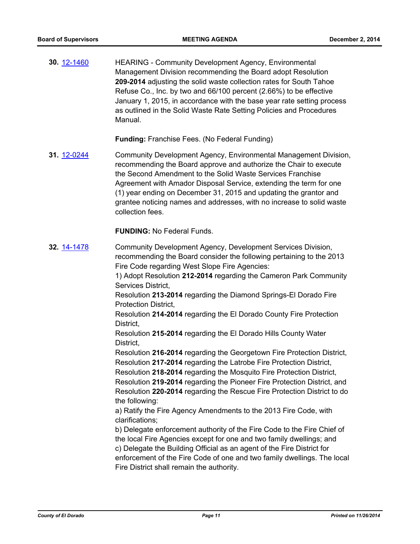**30.** [12-1460](http://eldorado.legistar.com/gateway.aspx?m=l&id=/matter.aspx?key=15764) HEARING - Community Development Agency, Environmental Management Division recommending the Board adopt Resolution **209-2014** adjusting the solid waste collection rates for South Tahoe Refuse Co., Inc. by two and 66/100 percent (2.66%) to be effective January 1, 2015, in accordance with the base year rate setting process as outlined in the Solid Waste Rate Setting Policies and Procedures Manual.

**Funding:** Franchise Fees. (No Federal Funding)

**31.** [12-0244](http://eldorado.legistar.com/gateway.aspx?m=l&id=/matter.aspx?key=14530) Community Development Agency, Environmental Management Division, recommending the Board approve and authorize the Chair to execute the Second Amendment to the Solid Waste Services Franchise Agreement with Amador Disposal Service, extending the term for one (1) year ending on December 31, 2015 and updating the grantor and grantee noticing names and addresses, with no increase to solid waste collection fees.

**FUNDING:** No Federal Funds.

**32.** [14-1478](http://eldorado.legistar.com/gateway.aspx?m=l&id=/matter.aspx?key=18962) Community Development Agency, Development Services Division, recommending the Board consider the following pertaining to the 2013 Fire Code regarding West Slope Fire Agencies: 1) Adopt Resolution **212-2014** regarding the Cameron Park Community Services District, Resolution **213-2014** regarding the Diamond Springs-El Dorado Fire Protection District, Resolution **214-2014** regarding the El Dorado County Fire Protection District, Resolution **215-2014** regarding the El Dorado Hills County Water District, Resolution **216-2014** regarding the Georgetown Fire Protection District, Resolution **217-2014** regarding the Latrobe Fire Protection District, Resolution **218-2014** regarding the Mosquito Fire Protection District, Resolution **219-2014** regarding the Pioneer Fire Protection District, and Resolution **220-2014** regarding the Rescue Fire Protection District to do the following: a) Ratify the Fire Agency Amendments to the 2013 Fire Code, with clarifications; b) Delegate enforcement authority of the Fire Code to the Fire Chief of the local Fire Agencies except for one and two family dwellings; and c) Delegate the Building Official as an agent of the Fire District for enforcement of the Fire Code of one and two family dwellings. The local Fire District shall remain the authority.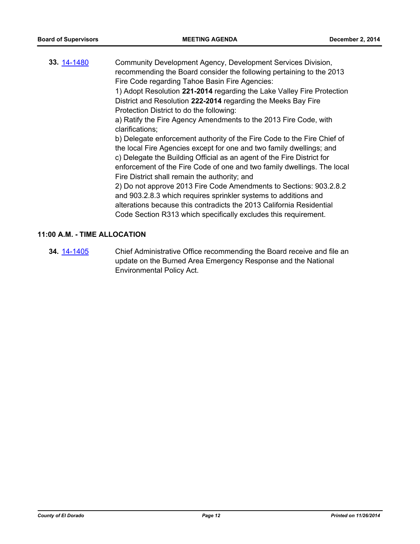**33.** [14-1480](http://eldorado.legistar.com/gateway.aspx?m=l&id=/matter.aspx?key=18964) Community Development Agency, Development Services Division, recommending the Board consider the following pertaining to the 2013 Fire Code regarding Tahoe Basin Fire Agencies: 1) Adopt Resolution **221-2014** regarding the Lake Valley Fire Protection District and Resolution **222-2014** regarding the Meeks Bay Fire Protection District to do the following: a) Ratify the Fire Agency Amendments to the 2013 Fire Code, with clarifications; b) Delegate enforcement authority of the Fire Code to the Fire Chief of the local Fire Agencies except for one and two family dwellings; and c) Delegate the Building Official as an agent of the Fire District for enforcement of the Fire Code of one and two family dwellings. The local Fire District shall remain the authority; and 2) Do not approve 2013 Fire Code Amendments to Sections: 903.2.8.2 and 903.2.8.3 which requires sprinkler systems to additions and alterations because this contradicts the 2013 California Residential Code Section R313 which specifically excludes this requirement.

#### **11:00 A.M. - TIME ALLOCATION**

**34.** [14-1405](http://eldorado.legistar.com/gateway.aspx?m=l&id=/matter.aspx?key=18889) Chief Administrative Office recommending the Board receive and file an update on the Burned Area Emergency Response and the National Environmental Policy Act.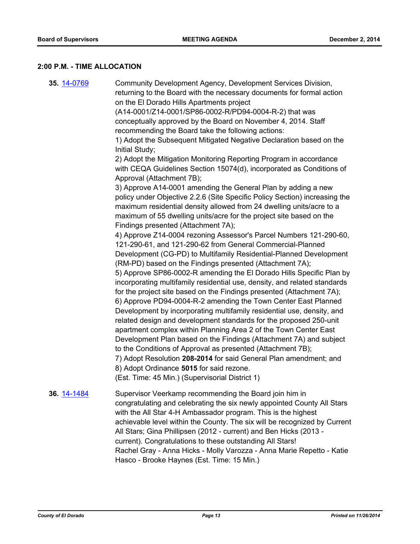#### **2:00 P.M. - TIME ALLOCATION**

**35.** [14-0769](http://eldorado.legistar.com/gateway.aspx?m=l&id=/matter.aspx?key=18252) Community Development Agency, Development Services Division, returning to the Board with the necessary documents for formal action on the El Dorado Hills Apartments project (A14-0001/Z14-0001/SP86-0002-R/PD94-0004-R-2) that was conceptually approved by the Board on November 4, 2014. Staff recommending the Board take the following actions: 1) Adopt the Subsequent Mitigated Negative Declaration based on the Initial Study; 2) Adopt the Mitigation Monitoring Reporting Program in accordance with CEQA Guidelines Section 15074(d), incorporated as Conditions of Approval (Attachment 7B); 3) Approve A14-0001 amending the General Plan by adding a new policy under Objective 2.2.6 (Site Specific Policy Section) increasing the maximum residential density allowed from 24 dwelling units/acre to a maximum of 55 dwelling units/acre for the project site based on the Findings presented (Attachment 7A); 4) Approve Z14-0004 rezoning Assessor's Parcel Numbers 121-290-60, 121-290-61, and 121-290-62 from General Commercial-Planned Development (CG-PD) to Multifamily Residential-Planned Development (RM-PD) based on the Findings presented (Attachment 7A); 5) Approve SP86-0002-R amending the El Dorado Hills Specific Plan by incorporating multifamily residential use, density, and related standards for the project site based on the Findings presented (Attachment 7A); 6) Approve PD94-0004-R-2 amending the Town Center East Planned Development by incorporating multifamily residential use, density, and related design and development standards for the proposed 250-unit apartment complex within Planning Area 2 of the Town Center East Development Plan based on the Findings (Attachment 7A) and subject to the Conditions of Approval as presented (Attachment 7B); 7) Adopt Resolution **208-2014** for said General Plan amendment; and 8) Adopt Ordinance **5015** for said rezone. (Est. Time: 45 Min.) (Supervisorial District 1) **36.** [14-1484](http://eldorado.legistar.com/gateway.aspx?m=l&id=/matter.aspx?key=18968) Supervisor Veerkamp recommending the Board join him in congratulating and celebrating the six newly appointed County All Stars with the All Star 4-H Ambassador program. This is the highest achievable level within the County. The six will be recognized by Current All Stars; Gina Phillipsen (2012 - current) and Ben Hicks (2013 current). Congratulations to these outstanding All Stars!

Rachel Gray - Anna Hicks - Molly Varozza - Anna Marie Repetto - Katie Hasco - Brooke Haynes (Est. Time: 15 Min.)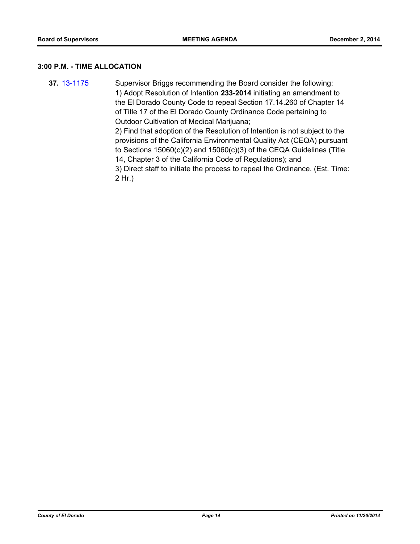#### **3:00 P.M. - TIME ALLOCATION**

**37.** [13-1175](http://eldorado.legistar.com/gateway.aspx?m=l&id=/matter.aspx?key=17071) Supervisor Briggs recommending the Board consider the following: 1) Adopt Resolution of Intention **233-2014** initiating an amendment to the El Dorado County Code to repeal Section 17.14.260 of Chapter 14 of Title 17 of the El Dorado County Ordinance Code pertaining to Outdoor Cultivation of Medical Marijuana; 2) Find that adoption of the Resolution of Intention is not subject to the provisions of the California Environmental Quality Act (CEQA) pursuant

to Sections 15060(c)(2) and 15060(c)(3) of the CEQA Guidelines (Title 14, Chapter 3 of the California Code of Regulations); and

3) Direct staff to initiate the process to repeal the Ordinance. (Est. Time: 2 Hr.)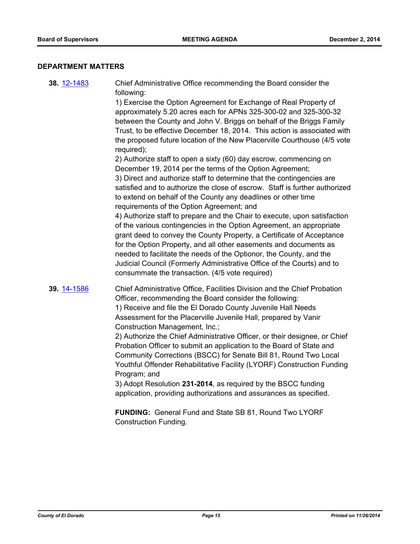#### **DEPARTMENT MATTERS**

**38.** [12-1483](http://eldorado.legistar.com/gateway.aspx?m=l&id=/matter.aspx?key=15787) Chief Administrative Office recommending the Board consider the following:

> 1) Exercise the Option Agreement for Exchange of Real Property of approximately 5.20 acres each for APNs 325-300-02 and 325-300-32 between the County and John V. Briggs on behalf of the Briggs Family Trust, to be effective December 18, 2014. This action is associated with the proposed future location of the New Placerville Courthouse (4/5 vote required);

> 2) Authorize staff to open a sixty (60) day escrow, commencing on December 19, 2014 per the terms of the Option Agreement; 3) Direct and authorize staff to determine that the contingencies are satisfied and to authorize the close of escrow. Staff is further authorized to extend on behalf of the County any deadlines or other time requirements of the Option Agreement; and

> 4) Authorize staff to prepare and the Chair to execute, upon satisfaction of the various contingencies in the Option Agreement, an appropriate grant deed to convey the County Property, a Certificate of Acceptance for the Option Property, and all other easements and documents as needed to facilitate the needs of the Optionor, the County, and the Judicial Council (Formerly Administrative Office of the Courts) and to consummate the transaction. (4/5 vote required)

**39.** [14-1586](http://eldorado.legistar.com/gateway.aspx?m=l&id=/matter.aspx?key=19073) Chief Administrative Office, Facilities Division and the Chief Probation Officer, recommending the Board consider the following: 1) Receive and file the El Dorado County Juvenile Hall Needs Assessment for the Placerville Juvenile Hall, prepared by Vanir Construction Management, Inc.;

> 2) Authorize the Chief Administrative Officer, or their designee, or Chief Probation Officer to submit an application to the Board of State and Community Corrections (BSCC) for Senate Bill 81, Round Two Local Youthful Offender Rehabilitative Facility (LYORF) Construction Funding Program; and

3) Adopt Resolution **231-2014**, as required by the BSCC funding application, providing authorizations and assurances as specified.

**FUNDING:** General Fund and State SB 81, Round Two LYORF Construction Funding.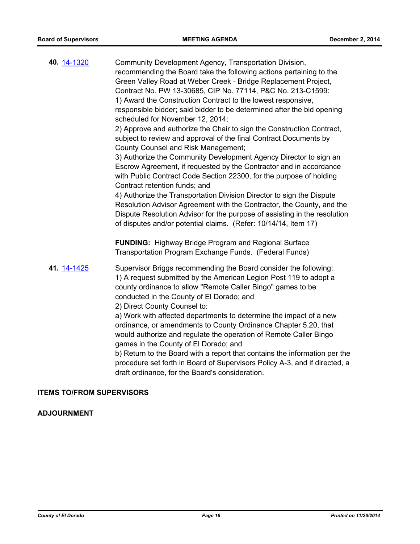| 40. 14-1320 | Community Development Agency, Transportation Division,<br>recommending the Board take the following actions pertaining to the<br>Green Valley Road at Weber Creek - Bridge Replacement Project,<br>Contract No. PW 13-30685, CIP No. 77114, P&C No. 213-C1599:<br>1) Award the Construction Contract to the lowest responsive,<br>responsible bidder; said bidder to be determined after the bid opening<br>scheduled for November 12, 2014;<br>2) Approve and authorize the Chair to sign the Construction Contract,<br>subject to review and approval of the final Contract Documents by<br>County Counsel and Risk Management;<br>3) Authorize the Community Development Agency Director to sign an<br>Escrow Agreement, if requested by the Contractor and in accordance<br>with Public Contract Code Section 22300, for the purpose of holding<br>Contract retention funds; and<br>4) Authorize the Transportation Division Director to sign the Dispute<br>Resolution Advisor Agreement with the Contractor, the County, and the<br>Dispute Resolution Advisor for the purpose of assisting in the resolution<br>of disputes and/or potential claims. (Refer: 10/14/14, Item 17) |
|-------------|----------------------------------------------------------------------------------------------------------------------------------------------------------------------------------------------------------------------------------------------------------------------------------------------------------------------------------------------------------------------------------------------------------------------------------------------------------------------------------------------------------------------------------------------------------------------------------------------------------------------------------------------------------------------------------------------------------------------------------------------------------------------------------------------------------------------------------------------------------------------------------------------------------------------------------------------------------------------------------------------------------------------------------------------------------------------------------------------------------------------------------------------------------------------------------------|
|             | <b>FUNDING:</b> Highway Bridge Program and Regional Surface<br>Transportation Program Exchange Funds. (Federal Funds)                                                                                                                                                                                                                                                                                                                                                                                                                                                                                                                                                                                                                                                                                                                                                                                                                                                                                                                                                                                                                                                                  |
| 41. 14-1425 | Supervisor Briggs recommending the Board consider the following:<br>1) A request submitted by the American Legion Post 119 to adopt a<br>county ordinance to allow "Remote Caller Bingo" games to be<br>conducted in the County of El Dorado; and<br>2) Direct County Counsel to:<br>a) Work with affected departments to determine the impact of a new<br>ordinance, or amendments to County Ordinance Chapter 5.20, that<br>would authorize and regulate the operation of Remote Caller Bingo<br>games in the County of El Dorado; and<br>b) Return to the Board with a report that contains the information per the<br>procedure set forth in Board of Supervisors Policy A-3, and if directed, a<br>draft ordinance, for the Board's consideration.                                                                                                                                                                                                                                                                                                                                                                                                                                |

## **ITEMS TO/FROM SUPERVISORS**

## **ADJOURNMENT**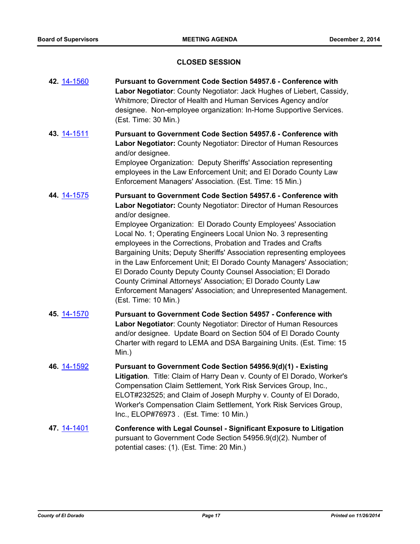#### **CLOSED SESSION**

- **42.** [14-1560](http://eldorado.legistar.com/gateway.aspx?m=l&id=/matter.aspx?key=19047) **Pursuant to Government Code Section 54957.6 Conference with Labor Negotiator**: County Negotiator: Jack Hughes of Liebert, Cassidy, Whitmore; Director of Health and Human Services Agency and/or designee. Non-employee organization: In-Home Supportive Services. (Est. Time: 30 Min.)
- **43.** [14-1511](http://eldorado.legistar.com/gateway.aspx?m=l&id=/matter.aspx?key=18997) **Pursuant to Government Code Section 54957.6 Conference with Labor Negotiator:** County Negotiator: Director of Human Resources and/or designee. Employee Organization: Deputy Sheriffs' Association representing employees in the Law Enforcement Unit; and El Dorado County Law Enforcement Managers' Association. (Est. Time: 15 Min.)
- **44.** [14-1575](http://eldorado.legistar.com/gateway.aspx?m=l&id=/matter.aspx?key=19062) **Pursuant to Government Code Section 54957.6 Conference with Labor Negotiator:** County Negotiator: Director of Human Resources and/or designee. Employee Organization: El Dorado County Employees' Association Local No. 1; Operating Engineers Local Union No. 3 representing employees in the Corrections, Probation and Trades and Crafts Bargaining Units; Deputy Sheriffs' Association representing employees in the Law Enforcement Unit; El Dorado County Managers' Association; El Dorado County Deputy County Counsel Association; El Dorado County Criminal Attorneys' Association; El Dorado County Law Enforcement Managers' Association; and Unrepresented Management. (Est. Time: 10 Min.)
- **45.** [14-1570](http://eldorado.legistar.com/gateway.aspx?m=l&id=/matter.aspx?key=19057) **Pursuant to Government Code Section 54957 Conference with Labor Negotiator**: County Negotiator: Director of Human Resources and/or designee. Update Board on Section 504 of El Dorado County Charter with regard to LEMA and DSA Bargaining Units. (Est. Time: 15 Min.)
- **46.** [14-1592](http://eldorado.legistar.com/gateway.aspx?m=l&id=/matter.aspx?key=19079) **Pursuant to Government Code Section 54956.9(d)(1) Existing Litigation**. Title: Claim of Harry Dean v. County of El Dorado, Worker's Compensation Claim Settlement, York Risk Services Group, Inc., ELOT#232525; and Claim of Joseph Murphy v. County of El Dorado, Worker's Compensation Claim Settlement, York Risk Services Group, Inc., ELOP#76973 . (Est. Time: 10 Min.)
- **47.** [14-1401](http://eldorado.legistar.com/gateway.aspx?m=l&id=/matter.aspx?key=18885) **Conference with Legal Counsel Significant Exposure to Litigation** pursuant to Government Code Section 54956.9(d)(2). Number of potential cases: (1). (Est. Time: 20 Min.)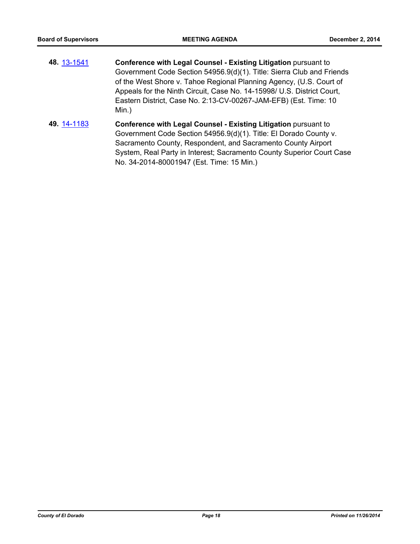- **48.** [13-1541](http://eldorado.legistar.com/gateway.aspx?m=l&id=/matter.aspx?key=17440) **Conference with Legal Counsel - Existing Litigation** pursuant to Government Code Section 54956.9(d)(1). Title: Sierra Club and Friends of the West Shore v. Tahoe Regional Planning Agency, (U.S. Court of Appeals for the Ninth Circuit, Case No. 14-15998/ U.S. District Court, Eastern District, Case No. 2:13-CV-00267-JAM-EFB) (Est. Time: 10 Min.)
- **49.** [14-1183](http://eldorado.legistar.com/gateway.aspx?m=l&id=/matter.aspx?key=18667) **Conference with Legal Counsel - Existing Litigation** pursuant to Government Code Section 54956.9(d)(1). Title: El Dorado County v. Sacramento County, Respondent, and Sacramento County Airport System, Real Party in Interest; Sacramento County Superior Court Case No. 34-2014-80001947 (Est. Time: 15 Min.)